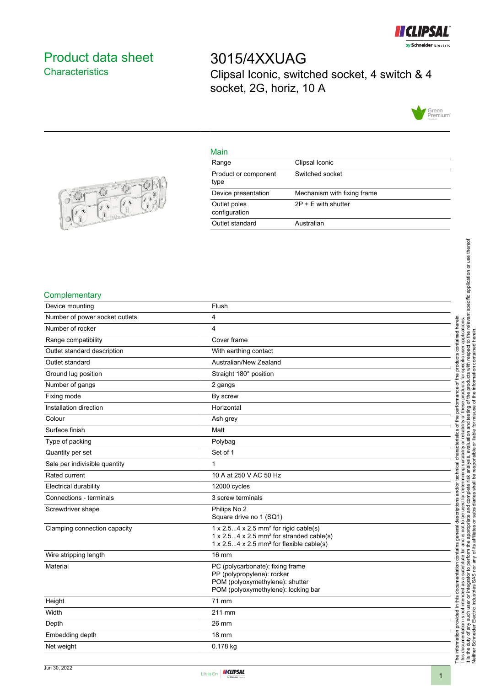

# <span id="page-0-0"></span>Product data sheet **Characteristics**

3015/4XXUAG Clipsal Iconic, switched socket, 4 switch & 4 socket, 2G, horiz, 10 A



# Main

| Range                         | Clipsal Iconic              |
|-------------------------------|-----------------------------|
| Product or component<br>type  | Switched socket             |
| Device presentation           | Mechanism with fixing frame |
| Outlet poles<br>configuration | $2P + E$ with shutter       |
| Outlet standard               | Australian                  |
|                               |                             |



# **Complementary**

| Device mounting                | Flush                                                                                                                 |
|--------------------------------|-----------------------------------------------------------------------------------------------------------------------|
| Number of power socket outlets | 4                                                                                                                     |
| Number of rocker               | 4                                                                                                                     |
| Range compatibility            | Cover frame                                                                                                           |
| Outlet standard description    | With earthing contact                                                                                                 |
| Outlet standard                | Australian/New Zealand                                                                                                |
| Ground lug position            | Straight 180° position                                                                                                |
| Number of gangs                | 2 gangs                                                                                                               |
| Fixing mode                    | By screw                                                                                                              |
| Installation direction         | Horizontal                                                                                                            |
| Colour                         | Ash grey                                                                                                              |
| Surface finish                 | Matt                                                                                                                  |
| Type of packing                | Polybag                                                                                                               |
| Quantity per set               | Set of 1                                                                                                              |
| Sale per indivisible quantity  | $\mathbf{1}$                                                                                                          |
| Rated current                  | 10 A at 250 V AC 50 Hz                                                                                                |
| <b>Electrical durability</b>   | 12000 cycles                                                                                                          |
| Connections - terminals        | 3 screw terminals                                                                                                     |
| Screwdriver shape              | Philips No 2                                                                                                          |
|                                | Square drive no 1 (SQ1)                                                                                               |
| Clamping connection capacity   | $1 \times 2.54 \times 2.5$ mm <sup>2</sup> for rigid cable(s)<br>1 x 2.54 x 2.5 mm <sup>2</sup> for stranded cable(s) |
|                                | 1 x 2.54 x 2.5 mm <sup>2</sup> for flexible cable(s)                                                                  |
| Wire stripping length          | <b>16 mm</b>                                                                                                          |
| Material                       | PC (polycarbonate): fixing frame                                                                                      |
|                                | PP (polypropylene): rocker                                                                                            |
|                                | POM (polyoxymethylene): shutter<br>POM (polyoxymethylene): locking bar                                                |
|                                |                                                                                                                       |
| Height                         | 71 mm                                                                                                                 |
| Width                          | 211 mm                                                                                                                |
| Depth                          | 26 mm                                                                                                                 |
| Embedding depth                | <b>18 mm</b>                                                                                                          |
| Net weight                     | 0.178 kg                                                                                                              |